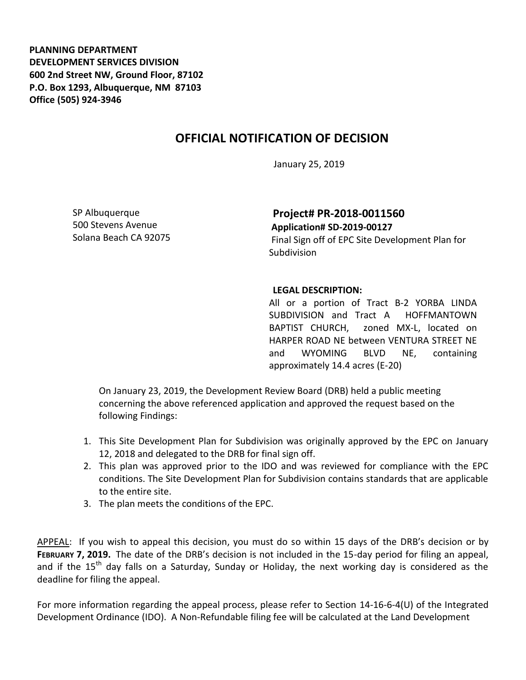**PLANNING DEPARTMENT DEVELOPMENT SERVICES DIVISION 600 2nd Street NW, Ground Floor, 87102 P.O. Box 1293, Albuquerque, NM 87103 Office (505) 924-3946** 

## **OFFICIAL NOTIFICATION OF DECISION**

January 25, 2019

SP Albuquerque 500 Stevens Avenue Solana Beach CA 92075

**Project# PR-2018-0011560 Application# SD-2019-00127** 

Final Sign off of EPC Site Development Plan for Subdivision

## **LEGAL DESCRIPTION:**

All or a portion of Tract B-2 YORBA LINDA SUBDIVISION and Tract A HOFFMANTOWN BAPTIST CHURCH, zoned MX-L, located on HARPER ROAD NE between VENTURA STREET NE and WYOMING BLVD NE, containing approximately 14.4 acres (E-20)

On January 23, 2019, the Development Review Board (DRB) held a public meeting concerning the above referenced application and approved the request based on the following Findings:

- 1. This Site Development Plan for Subdivision was originally approved by the EPC on January 12, 2018 and delegated to the DRB for final sign off.
- 2. This plan was approved prior to the IDO and was reviewed for compliance with the EPC conditions. The Site Development Plan for Subdivision contains standards that are applicable to the entire site.
- 3. The plan meets the conditions of the EPC.

APPEAL: If you wish to appeal this decision, you must do so within 15 days of the DRB's decision or by **FEBRUARY 7, 2019.** The date of the DRB's decision is not included in the 15-day period for filing an appeal, and if the 15<sup>th</sup> day falls on a Saturday, Sunday or Holiday, the next working day is considered as the deadline for filing the appeal.

For more information regarding the appeal process, please refer to Section 14-16-6-4(U) of the Integrated Development Ordinance (IDO). A Non-Refundable filing fee will be calculated at the Land Development